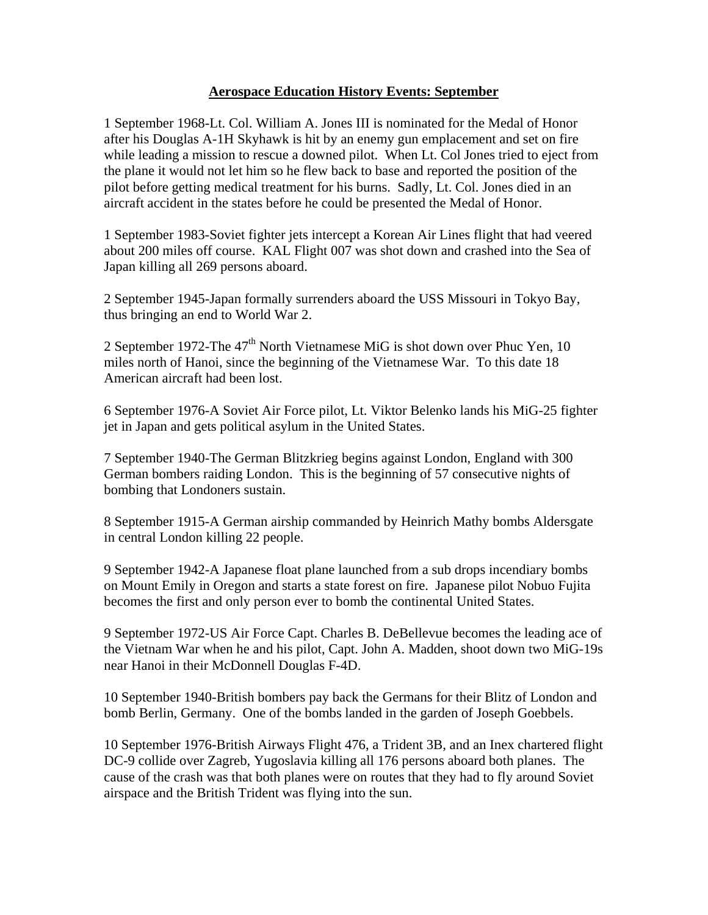## **Aerospace Education History Events: September**

1 September 1968-Lt. Col. William A. Jones III is nominated for the Medal of Honor after his Douglas A-1H Skyhawk is hit by an enemy gun emplacement and set on fire while leading a mission to rescue a downed pilot. When Lt. Col Jones tried to eject from the plane it would not let him so he flew back to base and reported the position of the pilot before getting medical treatment for his burns. Sadly, Lt. Col. Jones died in an aircraft accident in the states before he could be presented the Medal of Honor.

1 September 1983-Soviet fighter jets intercept a Korean Air Lines flight that had veered about 200 miles off course. KAL Flight 007 was shot down and crashed into the Sea of Japan killing all 269 persons aboard.

2 September 1945-Japan formally surrenders aboard the USS Missouri in Tokyo Bay, thus bringing an end to World War 2.

2 September 1972-The 47<sup>th</sup> North Vietnamese MiG is shot down over Phuc Yen, 10 miles north of Hanoi, since the beginning of the Vietnamese War. To this date 18 American aircraft had been lost.

6 September 1976-A Soviet Air Force pilot, Lt. Viktor Belenko lands his MiG-25 fighter jet in Japan and gets political asylum in the United States.

7 September 1940-The German Blitzkrieg begins against London, England with 300 German bombers raiding London. This is the beginning of 57 consecutive nights of bombing that Londoners sustain.

8 September 1915-A German airship commanded by Heinrich Mathy bombs Aldersgate in central London killing 22 people.

9 September 1942-A Japanese float plane launched from a sub drops incendiary bombs on Mount Emily in Oregon and starts a state forest on fire. Japanese pilot Nobuo Fujita becomes the first and only person ever to bomb the continental United States.

9 September 1972-US Air Force Capt. Charles B. DeBellevue becomes the leading ace of the Vietnam War when he and his pilot, Capt. John A. Madden, shoot down two MiG-19s near Hanoi in their McDonnell Douglas F-4D.

10 September 1940-British bombers pay back the Germans for their Blitz of London and bomb Berlin, Germany. One of the bombs landed in the garden of Joseph Goebbels.

10 September 1976-British Airways Flight 476, a Trident 3B, and an Inex chartered flight DC-9 collide over Zagreb, Yugoslavia killing all 176 persons aboard both planes. The cause of the crash was that both planes were on routes that they had to fly around Soviet airspace and the British Trident was flying into the sun.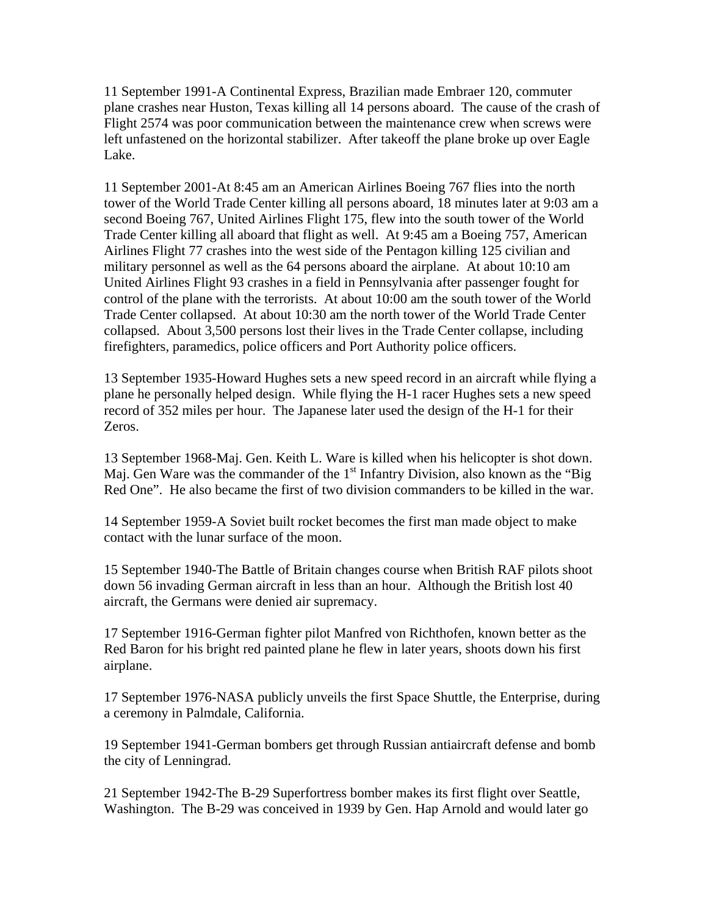11 September 1991-A Continental Express, Brazilian made Embraer 120, commuter plane crashes near Huston, Texas killing all 14 persons aboard. The cause of the crash of Flight 2574 was poor communication between the maintenance crew when screws were left unfastened on the horizontal stabilizer. After takeoff the plane broke up over Eagle Lake.

11 September 2001-At 8:45 am an American Airlines Boeing 767 flies into the north tower of the World Trade Center killing all persons aboard, 18 minutes later at 9:03 am a second Boeing 767, United Airlines Flight 175, flew into the south tower of the World Trade Center killing all aboard that flight as well. At 9:45 am a Boeing 757, American Airlines Flight 77 crashes into the west side of the Pentagon killing 125 civilian and military personnel as well as the 64 persons aboard the airplane. At about 10:10 am United Airlines Flight 93 crashes in a field in Pennsylvania after passenger fought for control of the plane with the terrorists. At about 10:00 am the south tower of the World Trade Center collapsed. At about 10:30 am the north tower of the World Trade Center collapsed. About 3,500 persons lost their lives in the Trade Center collapse, including firefighters, paramedics, police officers and Port Authority police officers.

13 September 1935-Howard Hughes sets a new speed record in an aircraft while flying a plane he personally helped design. While flying the H-1 racer Hughes sets a new speed record of 352 miles per hour. The Japanese later used the design of the H-1 for their Zeros.

13 September 1968-Maj. Gen. Keith L. Ware is killed when his helicopter is shot down. Maj. Gen Ware was the commander of the  $1<sup>st</sup>$  Infantry Division, also known as the "Big" Red One". He also became the first of two division commanders to be killed in the war.

14 September 1959-A Soviet built rocket becomes the first man made object to make contact with the lunar surface of the moon.

15 September 1940-The Battle of Britain changes course when British RAF pilots shoot down 56 invading German aircraft in less than an hour. Although the British lost 40 aircraft, the Germans were denied air supremacy.

17 September 1916-German fighter pilot Manfred von Richthofen, known better as the Red Baron for his bright red painted plane he flew in later years, shoots down his first airplane.

17 September 1976-NASA publicly unveils the first Space Shuttle, the Enterprise, during a ceremony in Palmdale, California.

19 September 1941-German bombers get through Russian antiaircraft defense and bomb the city of Lenningrad.

21 September 1942-The B-29 Superfortress bomber makes its first flight over Seattle, Washington. The B-29 was conceived in 1939 by Gen. Hap Arnold and would later go